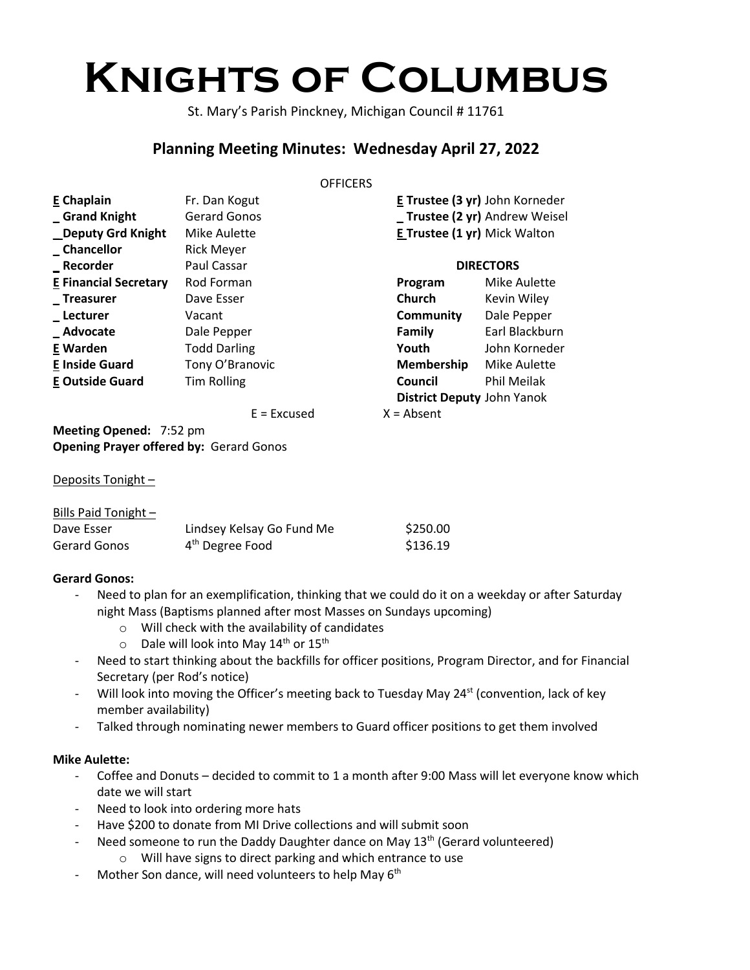# **Knights of Columbus**

St. Mary's Parish Pinckney, Michigan Council # 11761

# **Planning Meeting Minutes: Wednesday April 27, 2022**

#### **OFFICERS**

| E Chaplain                   | Fr. Dan Kogut       |                                     | E Trustee (3 yr) John Korneder    |  |
|------------------------------|---------------------|-------------------------------------|-----------------------------------|--|
| Grand Knight                 | <b>Gerard Gonos</b> | _ Trustee (2 yr) Andrew Weisel      |                                   |  |
| <b>Deputy Grd Knight</b>     | Mike Aulette        | <b>E Trustee (1 yr)</b> Mick Walton |                                   |  |
| _Chancellor                  | <b>Rick Meyer</b>   |                                     |                                   |  |
| _ Recorder                   | Paul Cassar         | <b>DIRECTORS</b>                    |                                   |  |
| <b>E Financial Secretary</b> | Rod Forman          | Program                             | Mike Aulette                      |  |
| <b>Treasurer</b>             | Dave Esser          | Church                              | Kevin Wiley                       |  |
| _Lecturer                    | Vacant              | Community                           | Dale Pepper                       |  |
| _Advocate                    | Dale Pepper         | Family                              | Earl Blackburn                    |  |
| E Warden                     | <b>Todd Darling</b> | Youth                               | John Korneder                     |  |
| <b>E Inside Guard</b>        | Tony O'Branovic     | Membership                          | Mike Aulette                      |  |
| <b>E Outside Guard</b>       | <b>Tim Rolling</b>  | Council                             | Phil Meilak                       |  |
|                              |                     |                                     | <b>District Deputy John Yanok</b> |  |
|                              | $E = Excused$       | $X = Absent$                        |                                   |  |

**Meeting Opened:** 7:52 pm **Opening Prayer offered by:** Gerard Gonos

#### Deposits Tonight -

| Bills Paid Tonight - |                             |          |
|----------------------|-----------------------------|----------|
| Dave Esser           | Lindsey Kelsay Go Fund Me   | \$250.00 |
| Gerard Gonos         | 4 <sup>th</sup> Degree Food | \$136.19 |

# **Gerard Gonos:**

- Need to plan for an exemplification, thinking that we could do it on a weekday or after Saturday night Mass (Baptisms planned after most Masses on Sundays upcoming)
	- o Will check with the availability of candidates
	- $\circ$  Dale will look into May 14<sup>th</sup> or 15<sup>th</sup>
- Need to start thinking about the backfills for officer positions, Program Director, and for Financial Secretary (per Rod's notice)
- Will look into moving the Officer's meeting back to Tuesday May 24<sup>st</sup> (convention, lack of key member availability)
- Talked through nominating newer members to Guard officer positions to get them involved

#### **Mike Aulette:**

- Coffee and Donuts decided to commit to 1 a month after 9:00 Mass will let everyone know which date we will start
- Need to look into ordering more hats
- Have \$200 to donate from MI Drive collections and will submit soon
- Need someone to run the Daddy Daughter dance on May 13<sup>th</sup> (Gerard volunteered)
	- o Will have signs to direct parking and which entrance to use
- Mother Son dance, will need volunteers to help May  $6<sup>th</sup>$